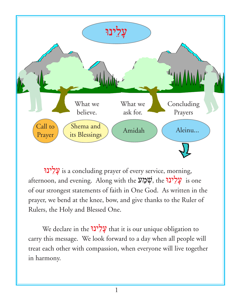

Wnyle[;' is a concluding prayer of every service, morning, afternoon, and evening. Along with the שְׁמַע is one of our strongest statements of faith in One God. As written in the prayer, we bend at the knee, bow, and give thanks to the Ruler of Rulers, the Holy and Blessed One.

We declare in the עֲלֵינוּ that it is our unique obligation to carry this message. We look forward to a day when all people will treat each other with compassion, when everyone will live together in harmony.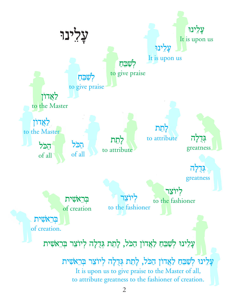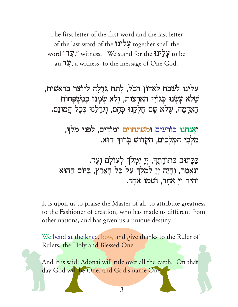The first letter of the first word and the last letter of the last word of the עֲלִינוּ together spell the word "עֲלִינוּ witness. We stand for the עֲלִינוּ to be an 79, a witness, to the message of One God.

עֲלִינוּ לְשַׁבֵּחַ לַאֲדוֹן הַכֹּל, לַחֲת גִּדְלָה לִיוֹצֵר בִּרְאֹשִׁית, שָׁלֹא עַשַׂנוּ כִּגוֹיֵי הַאַרַצוֹת, וְלֹא שַׂמַנוּ כִּמְשִׁפְּחוֹת הַאֲדָמָה, שֶׁלֹא שָׂם חֵלִקְנוּ כַּהֵם, וְגוֹרָלֶנוּ כִּכָל הֲמוֹנָם.

> <u>ואֲנ</u>חְנוּ כּוֹרְעִים וּמְשְׁתַּחֲוִים וּמוֹדִים, לִפְנֵי מֵלֵךְ, מַלְכֵי הַמִּלַכִים, הַקַדוֹשׁ בַרוּדְ הוּא.

כַּכָּתוּׂב בְּתוֹרָתֶךְ, יְיָ יִמְלֹךְ לְעוֹלָם וָעֶד. וְנֵאֲמַר, וְהָיָה יְיָ לְמֶלֶךְ עַל כָּל הָאָרֶץ, בַּיּוֹם הַהוּא יִהְיָה יִי אֲחָד, וּשָׁמוֹ אֲחֲד.

It is upon us to praise the Master of all, to attribute greatness to the Fashioner of creation, who has made us different from other nations, and has given us a unique destiny.

We bend at the knee, bow, and give thanks to the Ruler of Rulers, the Holy and Blessed One.

And it is said: Adonai will rule over all the earth. On that day God will be One, and God's name One.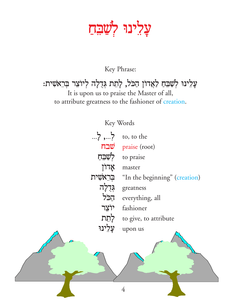### עָלִינוּ לְ<u>שָׁבִּח</u>

#### Key Phrase:

#### עָלִינוּ לְשַׁבִּחַ לַאֲדוֹן הַכֹּל, לְתִת גְּדֻלְה לְיוֹצֵר בְּרֵא*ֹ*שִׁית: It is upon us to praise the Master of all, to attribute greatness to the fashioner of creation.

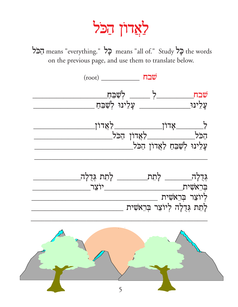## לאַדוֹן הַכֹּל

הַכֹּל means "everything." בָל means "all of." Study בָל the words on the previous page, and use them to translate below.



5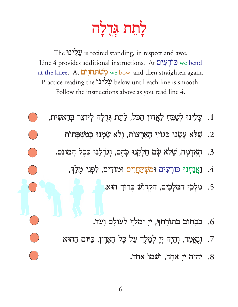# לַתַּת גִּדְלָה

The עֲלִינוּ is recited standing, in respect and awe. Line 4 provides additional instructions. At כוֹרְעָים we bend at the knee. At מְשָׁתַּחֲדָרָם we bow, and then straighten again. Practice reading the עֲלִינוּ below until each line is smooth. Follow the instructions above as you read line 4.

- 1. עָלִינוּ לְשַׁבֵּחַ לַאֲדוֹן הַכֹּל, לָחָת גִּדְלָה לְיוֹצֵר בִּרְאֹשִׁית,
	- 2. שֵׁלֹא עֲשָׂנוּ כְּגוֹיֵי הָאַרָצוֹת, וְלֹא שָׂמָנוּ כִּמְשִׁפְּחוֹת
	- 3. הָאֲדָמָה, שָׁלֹא שָׂם חֵלְקְנוּ כָּהֶם, וְגֹרָלֶנוּ כִּכָל הַמוֹנָם.

 $\bigcirc$ 

- 4. וַאֲנַחְנוּ כּוֹרְעִים וּמְשִׁתַּחֲוִים וּמוֹדִים, לִפְנֵי מֶלֶךְ,
	- 5. מַלִכִי הַמִּלַכִים, הַקֲדוֹשׁ בָרוּךְ הוּא.
	- 6. כַּכָּתוּּב בִּתוֹרָתֵךְ, יִיָ יִמְלֹךְ לְעוֹלָם וָעֵד.
- 7. וְנֵאֲמַר, וְהָיָה יִיָ לְמֶלֶךְ עַל כָּל הָאָרֶץ, בַּיּוֹם הַהוּא
	- 8. יְהָיָה יְיָ אֲחָד, וּשָׁמוֹ אַחַד.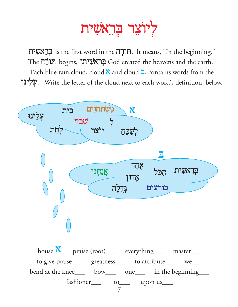### ליוצר בראשית

וֹבְרֵאָשִׁית is the first word in the תוֹרָה. It means, "In the beginning." The תורָה begins, "בְּרֵאשִׁית" God created the heavens and the earth." Each blue rain cloud, cloud  $\aleph$  and cloud  $\supseteq$ , contains words from the עֲלִינוּ. Write the letter of the cloud next to each word's definition, below.